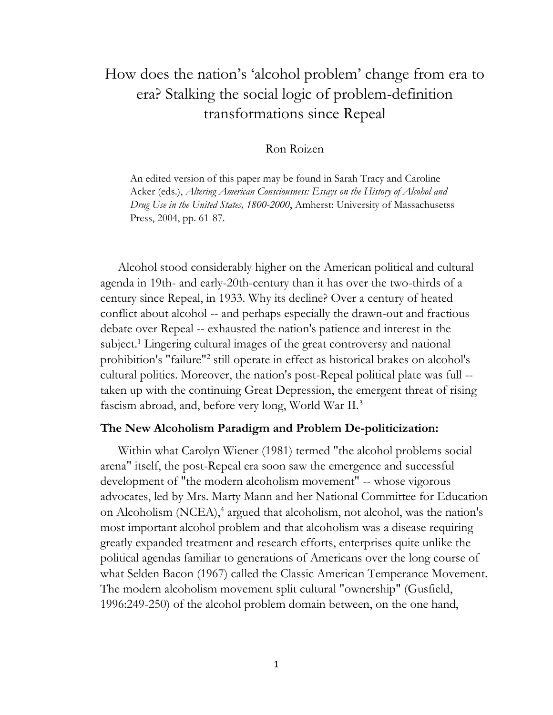# How does the nation's 'alcohol problem' change from era to era? Stalking the social logic of problem-definition transformations since Repeal

# Ron Roizen

An edited version of this paper may be found in Sarah Tracy and Caroline Acker (eds.), *Altering American Consciousness: Essays on the History of Alcohol and Drug Use in the United States, 1800-2000*, Amherst: University of Massachusetss Press, 2004, pp. 61-87.

Alcohol stood considerably higher on the American political and cultural agenda in 19th- and early-20th-century than it has over the two-thirds of a century since Repeal, in 1933. Why its decline? Over a century of heated conflict about alcohol -- and perhaps especially the drawn-out and fractious debate over Repeal -- exhausted the nation's patience and interest in the subject.<sup>1</sup> Lingering cultural images of the great controversy and national prohibition's "failure"<sup>2</sup> still operate in effect as historical brakes on alcohol's cultural politics. Moreover, the nation's post-Repeal political plate was full - taken up with the continuing Great Depression, the emergent threat of rising fascism abroad, and, before very long, World War II.<sup>3</sup>

#### **The New Alcoholism Paradigm and Problem De-politicization:**

Within what Carolyn Wiener (1981) termed "the alcohol problems social arena" itself, the post-Repeal era soon saw the emergence and successful development of "the modern alcoholism movement" -- whose vigorous advocates, led by Mrs. Marty Mann and her National Committee for Education on Alcoholism (NCEA),<sup>4</sup> argued that alcoholism, not alcohol, was the nation's most important alcohol problem and that alcoholism was a disease requiring greatly expanded treatment and research efforts, enterprises quite unlike the political agendas familiar to generations of Americans over the long course of what Selden Bacon (1967) called the Classic American Temperance Movement. The modern alcoholism movement split cultural "ownership" (Gusfield, 1996:249-250) of the alcohol problem domain between, on the one hand,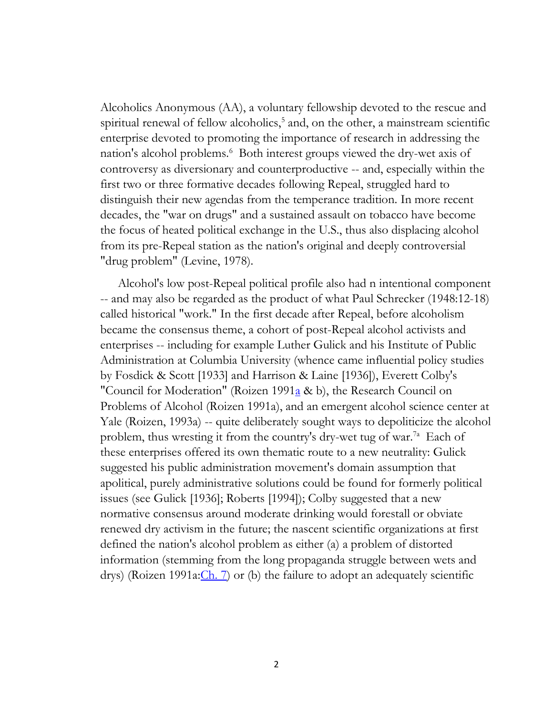Alcoholics Anonymous (AA), a voluntary fellowship devoted to the rescue and spiritual renewal of fellow alcoholics,<sup>5</sup> and, on the other, a mainstream scientific enterprise devoted to promoting the importance of research in addressing the nation's alcohol problems.<sup>6</sup> Both interest groups viewed the dry-wet axis of controversy as diversionary and counterproductive -- and, especially within the first two or three formative decades following Repeal, struggled hard to distinguish their new agendas from the temperance tradition. In more recent decades, the "war on drugs" and a sustained assault on tobacco have become the focus of heated political exchange in the U.S., thus also displacing alcohol from its pre-Repeal station as the nation's original and deeply controversial "drug problem" (Levine, 1978).

Alcohol's low post-Repeal political profile also had n intentional component -- and may also be regarded as the product of what Paul Schrecker (1948:12-18) called historical "work." In the first decade after Repeal, before alcoholism became the consensus theme, a cohort of post-Repeal alcohol activists and enterprises -- including for example Luther Gulick and his Institute of Public Administration at Columbia University (whence came influential policy studies by Fosdick & Scott [1933] and Harrison & Laine [1936]), Everett Colby's "Council for Moderation" (Roizen 1991 $\underline{a}$  & b), the Research Council on Problems of Alcohol (Roizen 1991a), and an emergent alcohol science center at Yale (Roizen, 1993a) -- quite deliberately sought ways to depoliticize the alcohol problem, thus wresting it from the country's dry-wet tug of war.<sup>7a</sup> Each of these enterprises offered its own thematic route to a new neutrality: Gulick suggested his public administration movement's domain assumption that apolitical, purely administrative solutions could be found for formerly political issues (see Gulick [1936]; Roberts [1994]); Colby suggested that a new normative consensus around moderate drinking would forestall or obviate renewed dry activism in the future; the nascent scientific organizations at first defined the nation's alcohol problem as either (a) a problem of distorted information (stemming from the long propaganda struggle between wets and drys) (Roizen 1991a: $\underline{Ch}$ . 7) or (b) the failure to adopt an adequately scientific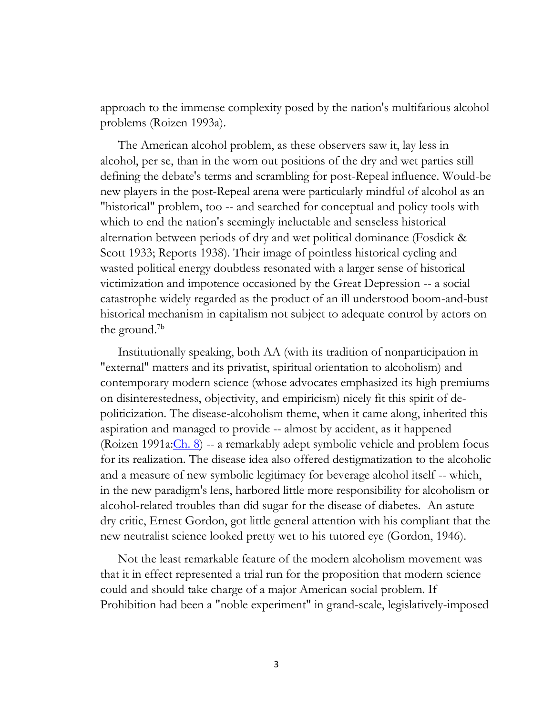approach to the immense complexity posed by the nation's multifarious alcohol problems (Roizen 1993a).

The American alcohol problem, as these observers saw it, lay less in alcohol, per se, than in the worn out positions of the dry and wet parties still defining the debate's terms and scrambling for post-Repeal influence. Would-be new players in the post-Repeal arena were particularly mindful of alcohol as an "historical" problem, too -- and searched for conceptual and policy tools with which to end the nation's seemingly ineluctable and senseless historical alternation between periods of dry and wet political dominance (Fosdick & Scott 1933; Reports 1938). Their image of pointless historical cycling and wasted political energy doubtless resonated with a larger sense of historical victimization and impotence occasioned by the Great Depression -- a social catastrophe widely regarded as the product of an ill understood boom-and-bust historical mechanism in capitalism not subject to adequate control by actors on the ground.<sup>7b</sup>

Institutionally speaking, both AA (with its tradition of nonparticipation in "external" matters and its privatist, spiritual orientation to alcoholism) and contemporary modern science (whose advocates emphasized its high premiums on disinterestedness, objectivity, and empiricism) nicely fit this spirit of depoliticization. The disease-alcoholism theme, when it came along, inherited this aspiration and managed to provide -- almost by accident, as it happened (Roizen 1991a: $\underline{Ch. 8}$ ) -- a remarkably adept symbolic vehicle and problem focus for its realization. The disease idea also offered destigmatization to the alcoholic and a measure of new symbolic legitimacy for beverage alcohol itself -- which, in the new paradigm's lens, harbored little more responsibility for alcoholism or alcohol-related troubles than did sugar for the disease of diabetes. An astute dry critic, Ernest Gordon, got little general attention with his compliant that the new neutralist science looked pretty wet to his tutored eye (Gordon, 1946).

Not the least remarkable feature of the modern alcoholism movement was that it in effect represented a trial run for the proposition that modern science could and should take charge of a major American social problem. If Prohibition had been a "noble experiment" in grand-scale, legislatively-imposed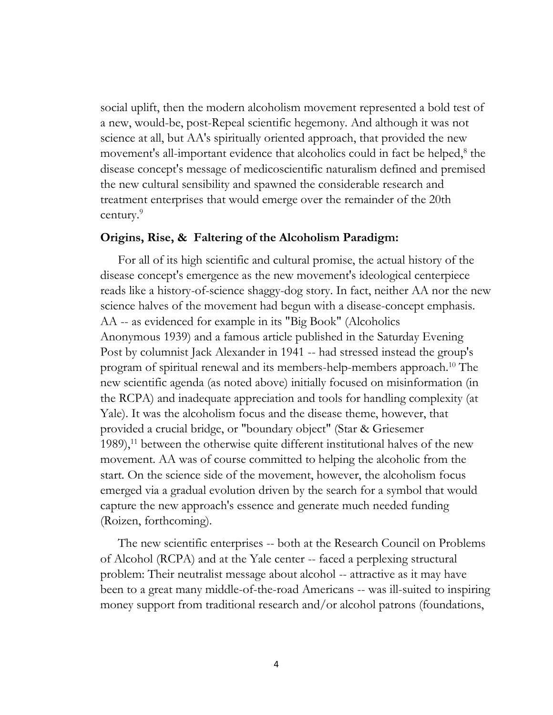social uplift, then the modern alcoholism movement represented a bold test of a new, would-be, post-Repeal scientific hegemony. And although it was not science at all, but AA's spiritually oriented approach, that provided the new movement's all-important evidence that alcoholics could in fact be helped,<sup>8</sup> the disease concept's message of medicoscientific naturalism defined and premised the new cultural sensibility and spawned the considerable research and treatment enterprises that would emerge over the remainder of the 20th century.<sup>9</sup>

## **Origins, Rise, & Faltering of the Alcoholism Paradigm:**

For all of its high scientific and cultural promise, the actual history of the disease concept's emergence as the new movement's ideological centerpiece reads like a history-of-science shaggy-dog story. In fact, neither AA nor the new science halves of the movement had begun with a disease-concept emphasis. AA -- as evidenced for example in its "Big Book" (Alcoholics Anonymous 1939) and a famous article published in the Saturday Evening Post by columnist Jack Alexander in 1941 -- had stressed instead the group's program of spiritual renewal and its members-help-members approach.<sup>10</sup> The new scientific agenda (as noted above) initially focused on misinformation (in the RCPA) and inadequate appreciation and tools for handling complexity (at Yale). It was the alcoholism focus and the disease theme, however, that provided a crucial bridge, or "boundary object" (Star & Griesemer  $1989$ ,<sup>11</sup> between the otherwise quite different institutional halves of the new movement. AA was of course committed to helping the alcoholic from the start. On the science side of the movement, however, the alcoholism focus emerged via a gradual evolution driven by the search for a symbol that would capture the new approach's essence and generate much needed funding (Roizen, forthcoming).

The new scientific enterprises -- both at the Research Council on Problems of Alcohol (RCPA) and at the Yale center -- faced a perplexing structural problem: Their neutralist message about alcohol -- attractive as it may have been to a great many middle-of-the-road Americans -- was ill-suited to inspiring money support from traditional research and/or alcohol patrons (foundations,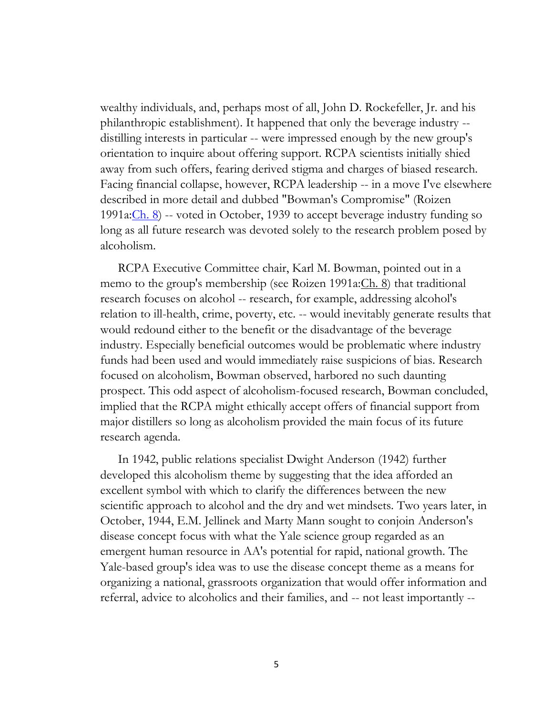wealthy individuals, and, perhaps most of all, John D. Rockefeller, Jr. and his philanthropic establishment). It happened that only the beverage industry - distilling interests in particular -- were impressed enough by the new group's orientation to inquire about offering support. RCPA scientists initially shied away from such offers, fearing derived stigma and charges of biased research. Facing financial collapse, however, RCPA leadership -- in a move I've elsewhere described in more detail and dubbed "Bowman's Compromise" (Roizen 1991a: $\frac{\text{Ch. 8}}{\text{Co}}$  -- voted in October, 1939 to accept beverage industry funding so long as all future research was devoted solely to the research problem posed by alcoholism.

RCPA Executive Committee chair, Karl M. Bowman, pointed out in a memo to the group's membership (see Roizen 1991a: Ch. 8) that traditional research focuses on alcohol -- research, for example, addressing alcohol's relation to ill-health, crime, poverty, etc. -- would inevitably generate results that would redound either to the benefit or the disadvantage of the beverage industry. Especially beneficial outcomes would be problematic where industry funds had been used and would immediately raise suspicions of bias. Research focused on alcoholism, Bowman observed, harbored no such daunting prospect. This odd aspect of alcoholism-focused research, Bowman concluded, implied that the RCPA might ethically accept offers of financial support from major distillers so long as alcoholism provided the main focus of its future research agenda.

In 1942, public relations specialist Dwight Anderson (1942) further developed this alcoholism theme by suggesting that the idea afforded an excellent symbol with which to clarify the differences between the new scientific approach to alcohol and the dry and wet mindsets. Two years later, in October, 1944, E.M. Jellinek and Marty Mann sought to conjoin Anderson's disease concept focus with what the Yale science group regarded as an emergent human resource in AA's potential for rapid, national growth. The Yale-based group's idea was to use the disease concept theme as a means for organizing a national, grassroots organization that would offer information and referral, advice to alcoholics and their families, and -- not least importantly --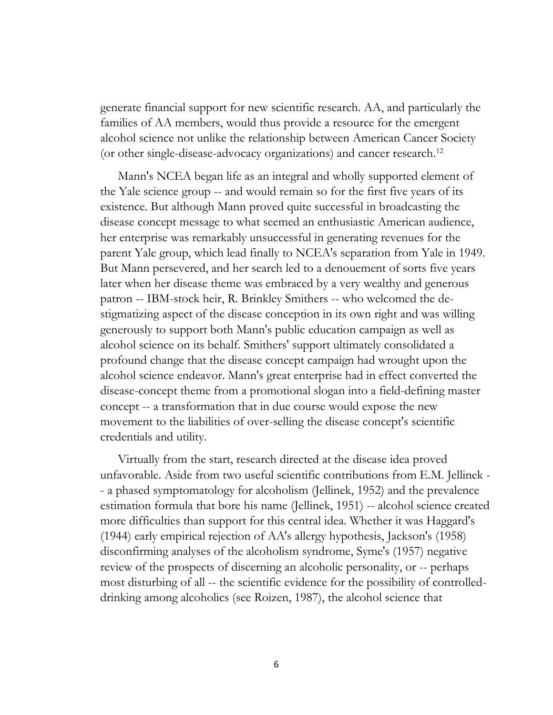generate financial support for new scientific research. AA, and particularly the families of AA members, would thus provide a resource for the emergent alcohol science not unlike the relationship between American Cancer Society (or other single-disease-advocacy organizations) and cancer research.<sup>12</sup>

Mann's NCEA began life as an integral and wholly supported element of the Yale science group -- and would remain so for the first five years of its existence. But although Mann proved quite successful in broadcasting the disease concept message to what seemed an enthusiastic American audience, her enterprise was remarkably unsuccessful in generating revenues for the parent Yale group, which lead finally to NCEA's separation from Yale in 1949. But Mann persevered, and her search led to a denouement of sorts five years later when her disease theme was embraced by a very wealthy and generous patron -- IBM-stock heir, R. Brinkley Smithers -- who welcomed the destigmatizing aspect of the disease conception in its own right and was willing generously to support both Mann's public education campaign as well as alcohol science on its behalf. Smithers' support ultimately consolidated a profound change that the disease concept campaign had wrought upon the alcohol science endeavor. Mann's great enterprise had in effect converted the disease-concept theme from a promotional slogan into a field-defining master concept -- a transformation that in due course would expose the new movement to the liabilities of over-selling the disease concept's scientific credentials and utility.

Virtually from the start, research directed at the disease idea proved unfavorable. Aside from two useful scientific contributions from E.M. Jellinek - - a phased symptomatology for alcoholism (Jellinek, 1952) and the prevalence estimation formula that bore his name (Jellinek, 1951) -- alcohol science created more difficulties than support for this central idea. Whether it was Haggard's (1944) early empirical rejection of AA's allergy hypothesis, Jackson's (1958) disconfirming analyses of the alcoholism syndrome, Syme's (1957) negative review of the prospects of discerning an alcoholic personality, or -- perhaps most disturbing of all -- the scientific evidence for the possibility of controlleddrinking among alcoholics (see Roizen, 1987), the alcohol science that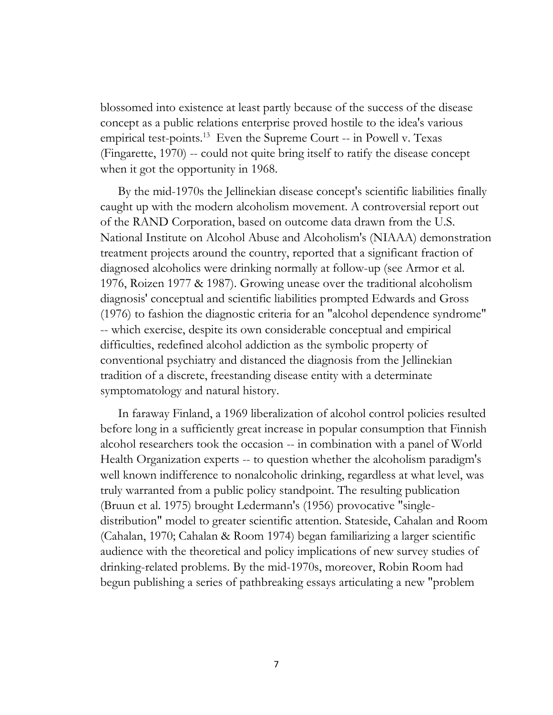blossomed into existence at least partly because of the success of the disease concept as a public relations enterprise proved hostile to the idea's various empirical test-points.<sup>13</sup> Even the Supreme Court -- in Powell v. Texas (Fingarette, 1970) -- could not quite bring itself to ratify the disease concept when it got the opportunity in 1968.

By the mid-1970s the Jellinekian disease concept's scientific liabilities finally caught up with the modern alcoholism movement. A controversial report out of the RAND Corporation, based on outcome data drawn from the U.S. National Institute on Alcohol Abuse and Alcoholism's (NIAAA) demonstration treatment projects around the country, reported that a significant fraction of diagnosed alcoholics were drinking normally at follow-up (see Armor et al. 1976, Roizen 1977 & 1987). Growing unease over the traditional alcoholism diagnosis' conceptual and scientific liabilities prompted Edwards and Gross (1976) to fashion the diagnostic criteria for an "alcohol dependence syndrome" -- which exercise, despite its own considerable conceptual and empirical difficulties, redefined alcohol addiction as the symbolic property of conventional psychiatry and distanced the diagnosis from the Jellinekian tradition of a discrete, freestanding disease entity with a determinate symptomatology and natural history.

In faraway Finland, a 1969 liberalization of alcohol control policies resulted before long in a sufficiently great increase in popular consumption that Finnish alcohol researchers took the occasion -- in combination with a panel of World Health Organization experts -- to question whether the alcoholism paradigm's well known indifference to nonalcoholic drinking, regardless at what level, was truly warranted from a public policy standpoint. The resulting publication (Bruun et al. 1975) brought Ledermann's (1956) provocative "singledistribution" model to greater scientific attention. Stateside, Cahalan and Room (Cahalan, 1970; Cahalan & Room 1974) began familiarizing a larger scientific audience with the theoretical and policy implications of new survey studies of drinking-related problems. By the mid-1970s, moreover, Robin Room had begun publishing a series of pathbreaking essays articulating a new "problem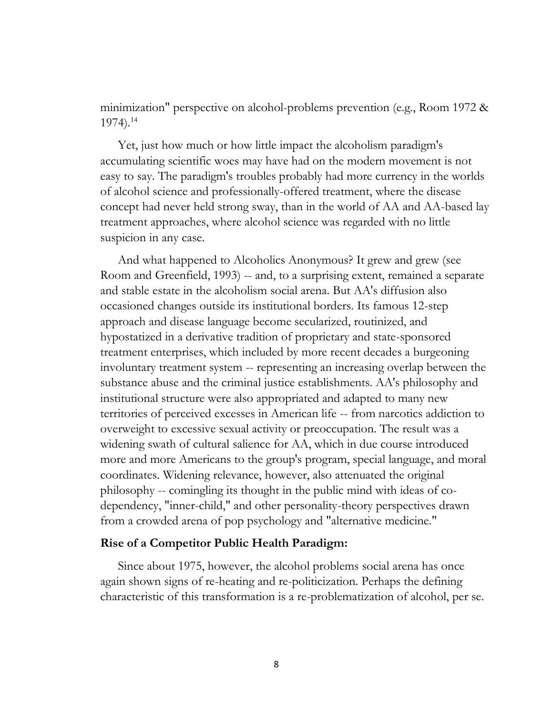minimization" perspective on alcohol-problems prevention (e.g., Room 1972 & 1974).<sup>14</sup>

Yet, just how much or how little impact the alcoholism paradigm's accumulating scientific woes may have had on the modern movement is not easy to say. The paradigm's troubles probably had more currency in the worlds of alcohol science and professionally-offered treatment, where the disease concept had never held strong sway, than in the world of AA and AA-based lay treatment approaches, where alcohol science was regarded with no little suspicion in any case.

And what happened to Alcoholics Anonymous? It grew and grew (see Room and Greenfield, 1993) -- and, to a surprising extent, remained a separate and stable estate in the alcoholism social arena. But AA's diffusion also occasioned changes outside its institutional borders. Its famous 12-step approach and disease language become secularized, routinized, and hypostatized in a derivative tradition of proprietary and state-sponsored treatment enterprises, which included by more recent decades a burgeoning involuntary treatment system -- representing an increasing overlap between the substance abuse and the criminal justice establishments. AA's philosophy and institutional structure were also appropriated and adapted to many new territories of perceived excesses in American life -- from narcotics addiction to overweight to excessive sexual activity or preoccupation. The result was a widening swath of cultural salience for AA, which in due course introduced more and more Americans to the group's program, special language, and moral coordinates. Widening relevance, however, also attenuated the original philosophy -- comingling its thought in the public mind with ideas of codependency, "inner-child," and other personality-theory perspectives drawn from a crowded arena of pop psychology and "alternative medicine."

#### **Rise of a Competitor Public Health Paradigm:**

Since about 1975, however, the alcohol problems social arena has once again shown signs of re-heating and re-politicization. Perhaps the defining characteristic of this transformation is a re-problematization of alcohol, per se.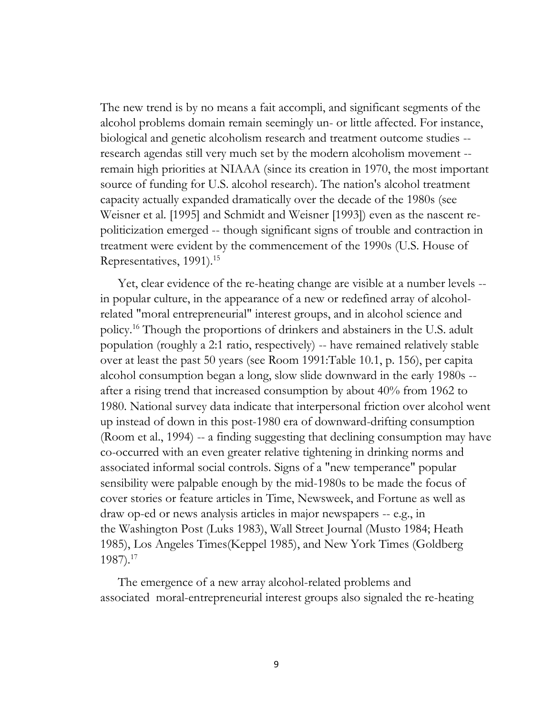The new trend is by no means a fait accompli, and significant segments of the alcohol problems domain remain seemingly un- or little affected. For instance, biological and genetic alcoholism research and treatment outcome studies - research agendas still very much set by the modern alcoholism movement - remain high priorities at NIAAA (since its creation in 1970, the most important source of funding for U.S. alcohol research). The nation's alcohol treatment capacity actually expanded dramatically over the decade of the 1980s (see Weisner et al. [1995] and Schmidt and Weisner [1993]) even as the nascent repoliticization emerged -- though significant signs of trouble and contraction in treatment were evident by the commencement of the 1990s (U.S. House of Representatives, 1991).<sup>15</sup>

Yet, clear evidence of the re-heating change are visible at a number levels - in popular culture, in the appearance of a new or redefined array of alcoholrelated "moral entrepreneurial" interest groups, and in alcohol science and policy.<sup>16</sup> Though the proportions of drinkers and abstainers in the U.S. adult population (roughly a 2:1 ratio, respectively) -- have remained relatively stable over at least the past 50 years (see Room 1991:Table 10.1, p. 156), per capita alcohol consumption began a long, slow slide downward in the early 1980s - after a rising trend that increased consumption by about 40% from 1962 to 1980. National survey data indicate that interpersonal friction over alcohol went up instead of down in this post-1980 era of downward-drifting consumption (Room et al., 1994) -- a finding suggesting that declining consumption may have co-occurred with an even greater relative tightening in drinking norms and associated informal social controls. Signs of a "new temperance" popular sensibility were palpable enough by the mid-1980s to be made the focus of cover stories or feature articles in Time, Newsweek, and Fortune as well as draw op-ed or news analysis articles in major newspapers -- e.g., in the Washington Post (Luks 1983), Wall Street Journal (Musto 1984; Heath 1985), Los Angeles Times(Keppel 1985), and New York Times (Goldberg 1987).<sup>17</sup>

The emergence of a new array alcohol-related problems and associated moral-entrepreneurial interest groups also signaled the re-heating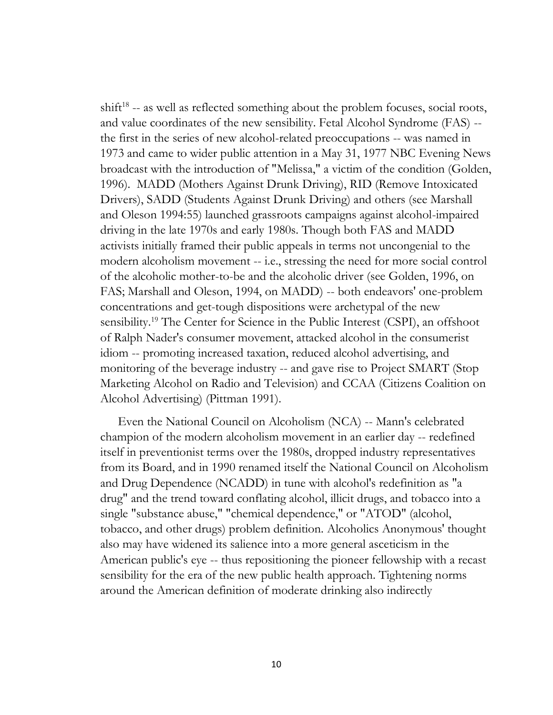shift<sup>18</sup> -- as well as reflected something about the problem focuses, social roots, and value coordinates of the new sensibility. Fetal Alcohol Syndrome (FAS) - the first in the series of new alcohol-related preoccupations -- was named in 1973 and came to wider public attention in a May 31, 1977 NBC Evening News broadcast with the introduction of "Melissa," a victim of the condition (Golden, 1996). MADD (Mothers Against Drunk Driving), RID (Remove Intoxicated Drivers), SADD (Students Against Drunk Driving) and others (see Marshall and Oleson 1994:55) launched grassroots campaigns against alcohol-impaired driving in the late 1970s and early 1980s. Though both FAS and MADD activists initially framed their public appeals in terms not uncongenial to the modern alcoholism movement -- i.e., stressing the need for more social control of the alcoholic mother-to-be and the alcoholic driver (see Golden, 1996, on FAS; Marshall and Oleson, 1994, on MADD) -- both endeavors' one-problem concentrations and get-tough dispositions were archetypal of the new sensibility.<sup>19</sup> The Center for Science in the Public Interest (CSPI), an offshoot of Ralph Nader's consumer movement, attacked alcohol in the consumerist idiom -- promoting increased taxation, reduced alcohol advertising, and monitoring of the beverage industry -- and gave rise to Project SMART (Stop Marketing Alcohol on Radio and Television) and CCAA (Citizens Coalition on Alcohol Advertising) (Pittman 1991).

Even the National Council on Alcoholism (NCA) -- Mann's celebrated champion of the modern alcoholism movement in an earlier day -- redefined itself in preventionist terms over the 1980s, dropped industry representatives from its Board, and in 1990 renamed itself the National Council on Alcoholism and Drug Dependence (NCADD) in tune with alcohol's redefinition as "a drug" and the trend toward conflating alcohol, illicit drugs, and tobacco into a single "substance abuse," "chemical dependence," or "ATOD" (alcohol, tobacco, and other drugs) problem definition. Alcoholics Anonymous' thought also may have widened its salience into a more general asceticism in the American public's eye -- thus repositioning the pioneer fellowship with a recast sensibility for the era of the new public health approach. Tightening norms around the American definition of moderate drinking also indirectly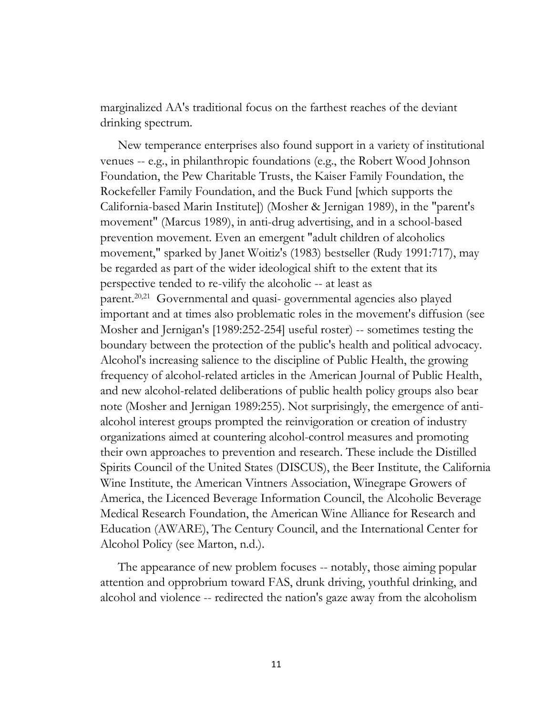marginalized AA's traditional focus on the farthest reaches of the deviant drinking spectrum.

New temperance enterprises also found support in a variety of institutional venues -- e.g., in philanthropic foundations (e.g., the Robert Wood Johnson Foundation, the Pew Charitable Trusts, the Kaiser Family Foundation, the Rockefeller Family Foundation, and the Buck Fund [which supports the California-based Marin Institute]) (Mosher & Jernigan 1989), in the "parent's movement" (Marcus 1989), in anti-drug advertising, and in a school-based prevention movement. Even an emergent "adult children of alcoholics movement," sparked by Janet Woitiz's (1983) bestseller (Rudy 1991:717), may be regarded as part of the wider ideological shift to the extent that its perspective tended to re-vilify the alcoholic -- at least as parent.20,21 Governmental and quasi- governmental agencies also played important and at times also problematic roles in the movement's diffusion (see Mosher and Jernigan's [1989:252-254] useful roster) -- sometimes testing the boundary between the protection of the public's health and political advocacy. Alcohol's increasing salience to the discipline of Public Health, the growing frequency of alcohol-related articles in the American Journal of Public Health, and new alcohol-related deliberations of public health policy groups also bear note (Mosher and Jernigan 1989:255). Not surprisingly, the emergence of antialcohol interest groups prompted the reinvigoration or creation of industry organizations aimed at countering alcohol-control measures and promoting their own approaches to prevention and research. These include the Distilled Spirits Council of the United States (DISCUS), the Beer Institute, the California Wine Institute, the American Vintners Association, Winegrape Growers of America, the Licenced Beverage Information Council, the Alcoholic Beverage Medical Research Foundation, the American Wine Alliance for Research and Education (AWARE), The Century Council, and the International Center for Alcohol Policy (see Marton, n.d.).

The appearance of new problem focuses -- notably, those aiming popular attention and opprobrium toward FAS, drunk driving, youthful drinking, and alcohol and violence -- redirected the nation's gaze away from the alcoholism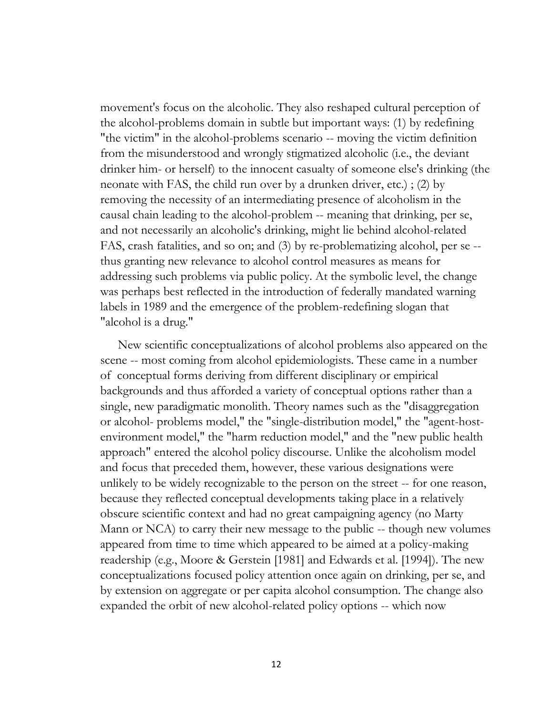movement's focus on the alcoholic. They also reshaped cultural perception of the alcohol-problems domain in subtle but important ways: (1) by redefining "the victim" in the alcohol-problems scenario -- moving the victim definition from the misunderstood and wrongly stigmatized alcoholic (i.e., the deviant drinker him- or herself) to the innocent casualty of someone else's drinking (the neonate with FAS, the child run over by a drunken driver, etc.) ; (2) by removing the necessity of an intermediating presence of alcoholism in the causal chain leading to the alcohol-problem -- meaning that drinking, per se, and not necessarily an alcoholic's drinking, might lie behind alcohol-related FAS, crash fatalities, and so on; and (3) by re-problematizing alcohol, per se - thus granting new relevance to alcohol control measures as means for addressing such problems via public policy. At the symbolic level, the change was perhaps best reflected in the introduction of federally mandated warning labels in 1989 and the emergence of the problem-redefining slogan that "alcohol is a drug."

New scientific conceptualizations of alcohol problems also appeared on the scene -- most coming from alcohol epidemiologists. These came in a number of conceptual forms deriving from different disciplinary or empirical backgrounds and thus afforded a variety of conceptual options rather than a single, new paradigmatic monolith. Theory names such as the "disaggregation or alcohol- problems model," the "single-distribution model," the "agent-hostenvironment model," the "harm reduction model," and the "new public health approach" entered the alcohol policy discourse. Unlike the alcoholism model and focus that preceded them, however, these various designations were unlikely to be widely recognizable to the person on the street -- for one reason, because they reflected conceptual developments taking place in a relatively obscure scientific context and had no great campaigning agency (no Marty Mann or NCA) to carry their new message to the public -- though new volumes appeared from time to time which appeared to be aimed at a policy-making readership (e.g., Moore & Gerstein [1981] and Edwards et al. [1994]). The new conceptualizations focused policy attention once again on drinking, per se, and by extension on aggregate or per capita alcohol consumption. The change also expanded the orbit of new alcohol-related policy options -- which now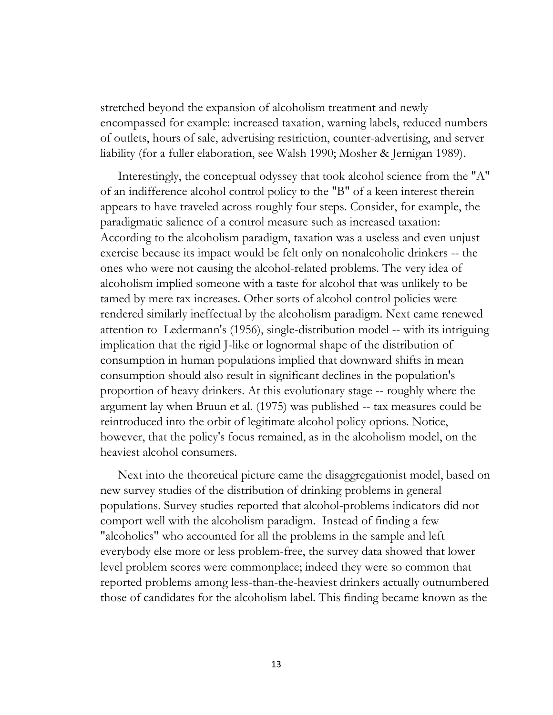stretched beyond the expansion of alcoholism treatment and newly encompassed for example: increased taxation, warning labels, reduced numbers of outlets, hours of sale, advertising restriction, counter-advertising, and server liability (for a fuller elaboration, see Walsh 1990; Mosher & Jernigan 1989).

Interestingly, the conceptual odyssey that took alcohol science from the "A" of an indifference alcohol control policy to the "B" of a keen interest therein appears to have traveled across roughly four steps. Consider, for example, the paradigmatic salience of a control measure such as increased taxation: According to the alcoholism paradigm, taxation was a useless and even unjust exercise because its impact would be felt only on nonalcoholic drinkers -- the ones who were not causing the alcohol-related problems. The very idea of alcoholism implied someone with a taste for alcohol that was unlikely to be tamed by mere tax increases. Other sorts of alcohol control policies were rendered similarly ineffectual by the alcoholism paradigm. Next came renewed attention to Ledermann's (1956), single-distribution model -- with its intriguing implication that the rigid J-like or lognormal shape of the distribution of consumption in human populations implied that downward shifts in mean consumption should also result in significant declines in the population's proportion of heavy drinkers. At this evolutionary stage -- roughly where the argument lay when Bruun et al. (1975) was published -- tax measures could be reintroduced into the orbit of legitimate alcohol policy options. Notice, however, that the policy's focus remained, as in the alcoholism model, on the heaviest alcohol consumers.

Next into the theoretical picture came the disaggregationist model, based on new survey studies of the distribution of drinking problems in general populations. Survey studies reported that alcohol-problems indicators did not comport well with the alcoholism paradigm. Instead of finding a few "alcoholics" who accounted for all the problems in the sample and left everybody else more or less problem-free, the survey data showed that lower level problem scores were commonplace; indeed they were so common that reported problems among less-than-the-heaviest drinkers actually outnumbered those of candidates for the alcoholism label. This finding became known as the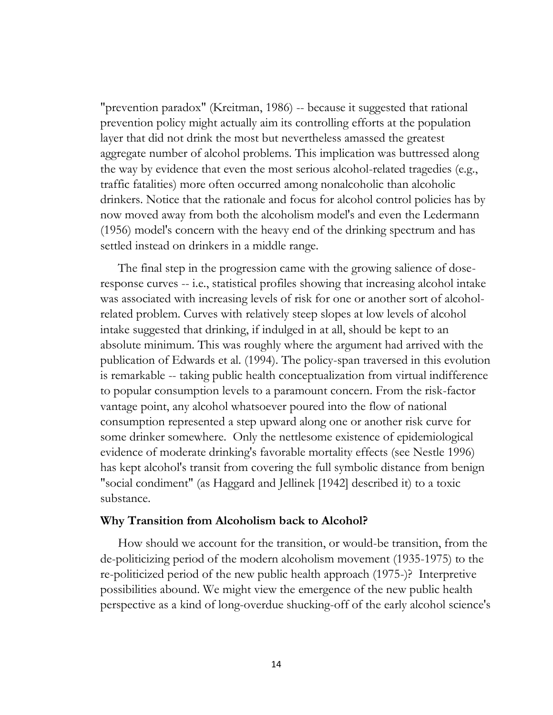"prevention paradox" (Kreitman, 1986) -- because it suggested that rational prevention policy might actually aim its controlling efforts at the population layer that did not drink the most but nevertheless amassed the greatest aggregate number of alcohol problems. This implication was buttressed along the way by evidence that even the most serious alcohol-related tragedies (e.g., traffic fatalities) more often occurred among nonalcoholic than alcoholic drinkers. Notice that the rationale and focus for alcohol control policies has by now moved away from both the alcoholism model's and even the Ledermann (1956) model's concern with the heavy end of the drinking spectrum and has settled instead on drinkers in a middle range.

The final step in the progression came with the growing salience of doseresponse curves -- i.e., statistical profiles showing that increasing alcohol intake was associated with increasing levels of risk for one or another sort of alcoholrelated problem. Curves with relatively steep slopes at low levels of alcohol intake suggested that drinking, if indulged in at all, should be kept to an absolute minimum. This was roughly where the argument had arrived with the publication of Edwards et al. (1994). The policy-span traversed in this evolution is remarkable -- taking public health conceptualization from virtual indifference to popular consumption levels to a paramount concern. From the risk-factor vantage point, any alcohol whatsoever poured into the flow of national consumption represented a step upward along one or another risk curve for some drinker somewhere. Only the nettlesome existence of epidemiological evidence of moderate drinking's favorable mortality effects (see Nestle 1996) has kept alcohol's transit from covering the full symbolic distance from benign "social condiment" (as Haggard and Jellinek [1942] described it) to a toxic substance.

## **Why Transition from Alcoholism back to Alcohol?**

How should we account for the transition, or would-be transition, from the de-politicizing period of the modern alcoholism movement (1935-1975) to the re-politicized period of the new public health approach (1975-)? Interpretive possibilities abound. We might view the emergence of the new public health perspective as a kind of long-overdue shucking-off of the early alcohol science's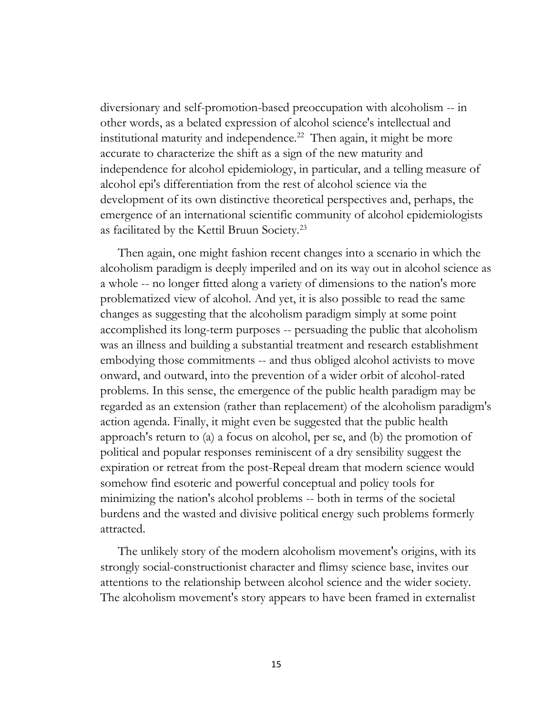diversionary and self-promotion-based preoccupation with alcoholism -- in other words, as a belated expression of alcohol science's intellectual and institutional maturity and independence.<sup>22</sup> Then again, it might be more accurate to characterize the shift as a sign of the new maturity and independence for alcohol epidemiology, in particular, and a telling measure of alcohol epi's differentiation from the rest of alcohol science via the development of its own distinctive theoretical perspectives and, perhaps, the emergence of an international scientific community of alcohol epidemiologists as facilitated by the Kettil Bruun Society.<sup>23</sup>

Then again, one might fashion recent changes into a scenario in which the alcoholism paradigm is deeply imperiled and on its way out in alcohol science as a whole -- no longer fitted along a variety of dimensions to the nation's more problematized view of alcohol. And yet, it is also possible to read the same changes as suggesting that the alcoholism paradigm simply at some point accomplished its long-term purposes -- persuading the public that alcoholism was an illness and building a substantial treatment and research establishment embodying those commitments -- and thus obliged alcohol activists to move onward, and outward, into the prevention of a wider orbit of alcohol-rated problems. In this sense, the emergence of the public health paradigm may be regarded as an extension (rather than replacement) of the alcoholism paradigm's action agenda. Finally, it might even be suggested that the public health approach's return to (a) a focus on alcohol, per se, and (b) the promotion of political and popular responses reminiscent of a dry sensibility suggest the expiration or retreat from the post-Repeal dream that modern science would somehow find esoteric and powerful conceptual and policy tools for minimizing the nation's alcohol problems -- both in terms of the societal burdens and the wasted and divisive political energy such problems formerly attracted.

The unlikely story of the modern alcoholism movement's origins, with its strongly social-constructionist character and flimsy science base, invites our attentions to the relationship between alcohol science and the wider society. The alcoholism movement's story appears to have been framed in externalist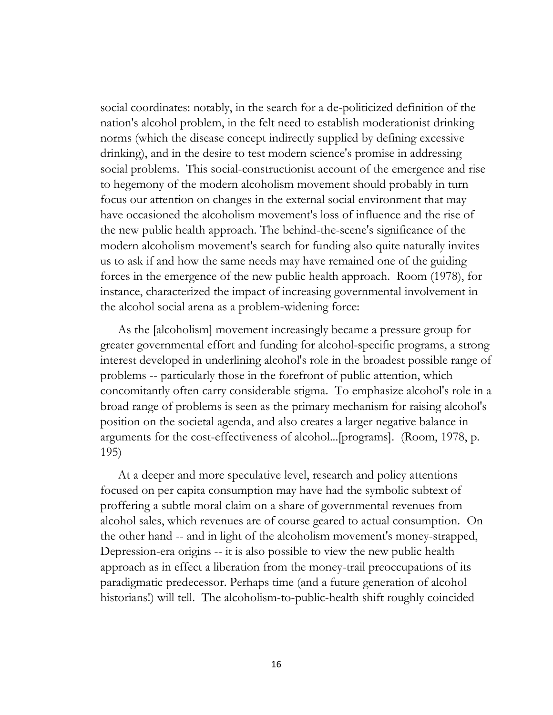social coordinates: notably, in the search for a de-politicized definition of the nation's alcohol problem, in the felt need to establish moderationist drinking norms (which the disease concept indirectly supplied by defining excessive drinking), and in the desire to test modern science's promise in addressing social problems. This social-constructionist account of the emergence and rise to hegemony of the modern alcoholism movement should probably in turn focus our attention on changes in the external social environment that may have occasioned the alcoholism movement's loss of influence and the rise of the new public health approach. The behind-the-scene's significance of the modern alcoholism movement's search for funding also quite naturally invites us to ask if and how the same needs may have remained one of the guiding forces in the emergence of the new public health approach. Room (1978), for instance, characterized the impact of increasing governmental involvement in the alcohol social arena as a problem-widening force:

As the [alcoholism] movement increasingly became a pressure group for greater governmental effort and funding for alcohol-specific programs, a strong interest developed in underlining alcohol's role in the broadest possible range of problems -- particularly those in the forefront of public attention, which concomitantly often carry considerable stigma. To emphasize alcohol's role in a broad range of problems is seen as the primary mechanism for raising alcohol's position on the societal agenda, and also creates a larger negative balance in arguments for the cost-effectiveness of alcohol...[programs]. (Room, 1978, p. 195)

At a deeper and more speculative level, research and policy attentions focused on per capita consumption may have had the symbolic subtext of proffering a subtle moral claim on a share of governmental revenues from alcohol sales, which revenues are of course geared to actual consumption. On the other hand -- and in light of the alcoholism movement's money-strapped, Depression-era origins -- it is also possible to view the new public health approach as in effect a liberation from the money-trail preoccupations of its paradigmatic predecessor. Perhaps time (and a future generation of alcohol historians!) will tell. The alcoholism-to-public-health shift roughly coincided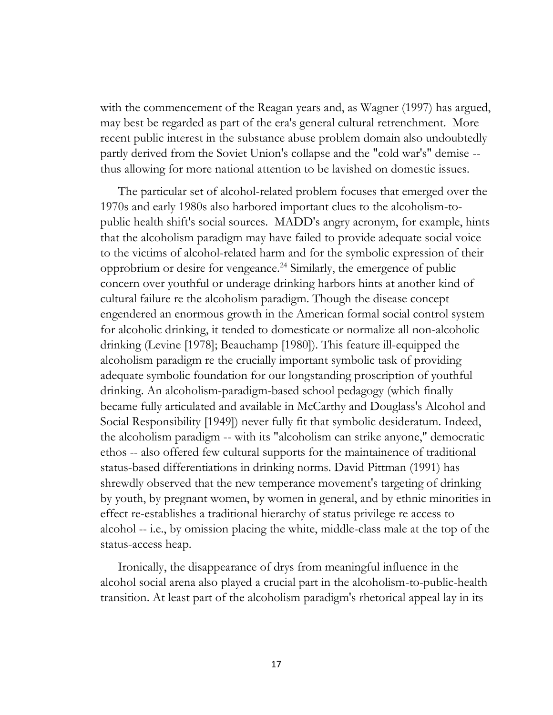with the commencement of the Reagan years and, as Wagner (1997) has argued, may best be regarded as part of the era's general cultural retrenchment. More recent public interest in the substance abuse problem domain also undoubtedly partly derived from the Soviet Union's collapse and the "cold war's" demise - thus allowing for more national attention to be lavished on domestic issues.

The particular set of alcohol-related problem focuses that emerged over the 1970s and early 1980s also harbored important clues to the alcoholism-topublic health shift's social sources. MADD's angry acronym, for example, hints that the alcoholism paradigm may have failed to provide adequate social voice to the victims of alcohol-related harm and for the symbolic expression of their opprobrium or desire for vengeance.<sup>24</sup> Similarly, the emergence of public concern over youthful or underage drinking harbors hints at another kind of cultural failure re the alcoholism paradigm. Though the disease concept engendered an enormous growth in the American formal social control system for alcoholic drinking, it tended to domesticate or normalize all non-alcoholic drinking (Levine [1978]; Beauchamp [1980]). This feature ill-equipped the alcoholism paradigm re the crucially important symbolic task of providing adequate symbolic foundation for our longstanding proscription of youthful drinking. An alcoholism-paradigm-based school pedagogy (which finally became fully articulated and available in McCarthy and Douglass's Alcohol and Social Responsibility [1949]) never fully fit that symbolic desideratum. Indeed, the alcoholism paradigm -- with its "alcoholism can strike anyone," democratic ethos -- also offered few cultural supports for the maintainence of traditional status-based differentiations in drinking norms. David Pittman (1991) has shrewdly observed that the new temperance movement's targeting of drinking by youth, by pregnant women, by women in general, and by ethnic minorities in effect re-establishes a traditional hierarchy of status privilege re access to alcohol -- i.e., by omission placing the white, middle-class male at the top of the status-access heap.

Ironically, the disappearance of drys from meaningful influence in the alcohol social arena also played a crucial part in the alcoholism-to-public-health transition. At least part of the alcoholism paradigm's rhetorical appeal lay in its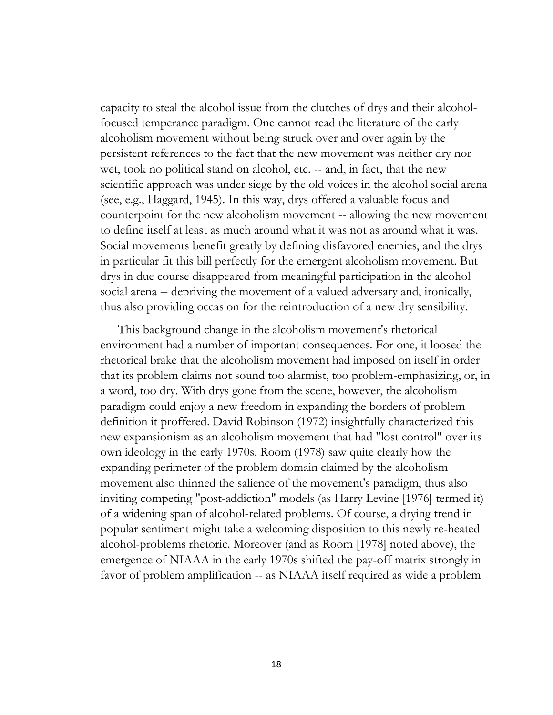capacity to steal the alcohol issue from the clutches of drys and their alcoholfocused temperance paradigm. One cannot read the literature of the early alcoholism movement without being struck over and over again by the persistent references to the fact that the new movement was neither dry nor wet, took no political stand on alcohol, etc. -- and, in fact, that the new scientific approach was under siege by the old voices in the alcohol social arena (see, e.g., Haggard, 1945). In this way, drys offered a valuable focus and counterpoint for the new alcoholism movement -- allowing the new movement to define itself at least as much around what it was not as around what it was. Social movements benefit greatly by defining disfavored enemies, and the drys in particular fit this bill perfectly for the emergent alcoholism movement. But drys in due course disappeared from meaningful participation in the alcohol social arena -- depriving the movement of a valued adversary and, ironically, thus also providing occasion for the reintroduction of a new dry sensibility.

This background change in the alcoholism movement's rhetorical environment had a number of important consequences. For one, it loosed the rhetorical brake that the alcoholism movement had imposed on itself in order that its problem claims not sound too alarmist, too problem-emphasizing, or, in a word, too dry. With drys gone from the scene, however, the alcoholism paradigm could enjoy a new freedom in expanding the borders of problem definition it proffered. David Robinson (1972) insightfully characterized this new expansionism as an alcoholism movement that had "lost control" over its own ideology in the early 1970s. Room (1978) saw quite clearly how the expanding perimeter of the problem domain claimed by the alcoholism movement also thinned the salience of the movement's paradigm, thus also inviting competing "post-addiction" models (as Harry Levine [1976] termed it) of a widening span of alcohol-related problems. Of course, a drying trend in popular sentiment might take a welcoming disposition to this newly re-heated alcohol-problems rhetoric. Moreover (and as Room [1978] noted above), the emergence of NIAAA in the early 1970s shifted the pay-off matrix strongly in favor of problem amplification -- as NIAAA itself required as wide a problem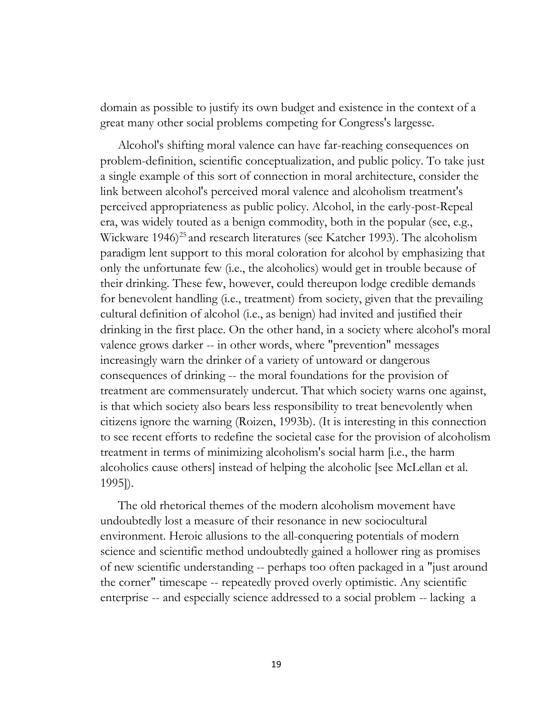domain as possible to justify its own budget and existence in the context of a great many other social problems competing for Congress's largesse.

Alcohol's shifting moral valence can have far-reaching consequences on problem-definition, scientific conceptualization, and public policy. To take just a single example of this sort of connection in moral architecture, consider the link between alcohol's perceived moral valence and alcoholism treatment's perceived appropriateness as public policy. Alcohol, in the early-post-Repeal era, was widely touted as a benign commodity, both in the popular (see, e.g., Wickware 1946)<sup>25</sup> and research literatures (see Katcher 1993). The alcoholism paradigm lent support to this moral coloration for alcohol by emphasizing that only the unfortunate few (i.e., the alcoholics) would get in trouble because of their drinking. These few, however, could thereupon lodge credible demands for benevolent handling (i.e., treatment) from society, given that the prevailing cultural definition of alcohol (i.e., as benign) had invited and justified their drinking in the first place. On the other hand, in a society where alcohol's moral valence grows darker -- in other words, where "prevention" messages increasingly warn the drinker of a variety of untoward or dangerous consequences of drinking -- the moral foundations for the provision of treatment are commensurately undercut. That which society warns one against, is that which society also bears less responsibility to treat benevolently when citizens ignore the warning (Roizen, 1993b). (It is interesting in this connection to see recent efforts to redefine the societal case for the provision of alcoholism treatment in terms of minimizing alcoholism's social harm [i.e., the harm alcoholics cause others] instead of helping the alcoholic [see McLellan et al. 1995]).

The old rhetorical themes of the modern alcoholism movement have undoubtedly lost a measure of their resonance in new sociocultural environment. Heroic allusions to the all-conquering potentials of modern science and scientific method undoubtedly gained a hollower ring as promises of new scientific understanding -- perhaps too often packaged in a "just around the corner" timescape -- repeatedly proved overly optimistic. Any scientific enterprise -- and especially science addressed to a social problem -- lacking a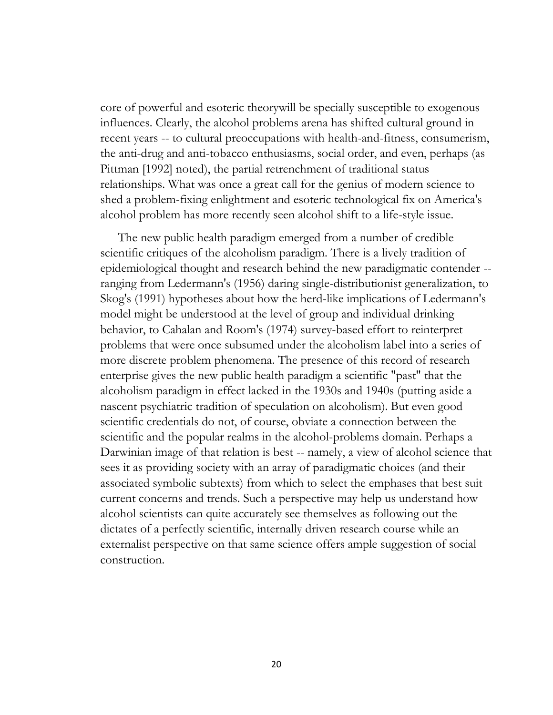core of powerful and esoteric theorywill be specially susceptible to exogenous influences. Clearly, the alcohol problems arena has shifted cultural ground in recent years -- to cultural preoccupations with health-and-fitness, consumerism, the anti-drug and anti-tobacco enthusiasms, social order, and even, perhaps (as Pittman [1992] noted), the partial retrenchment of traditional status relationships. What was once a great call for the genius of modern science to shed a problem-fixing enlightment and esoteric technological fix on America's alcohol problem has more recently seen alcohol shift to a life-style issue.

The new public health paradigm emerged from a number of credible scientific critiques of the alcoholism paradigm. There is a lively tradition of epidemiological thought and research behind the new paradigmatic contender - ranging from Ledermann's (1956) daring single-distributionist generalization, to Skog's (1991) hypotheses about how the herd-like implications of Ledermann's model might be understood at the level of group and individual drinking behavior, to Cahalan and Room's (1974) survey-based effort to reinterpret problems that were once subsumed under the alcoholism label into a series of more discrete problem phenomena. The presence of this record of research enterprise gives the new public health paradigm a scientific "past" that the alcoholism paradigm in effect lacked in the 1930s and 1940s (putting aside a nascent psychiatric tradition of speculation on alcoholism). But even good scientific credentials do not, of course, obviate a connection between the scientific and the popular realms in the alcohol-problems domain. Perhaps a Darwinian image of that relation is best -- namely, a view of alcohol science that sees it as providing society with an array of paradigmatic choices (and their associated symbolic subtexts) from which to select the emphases that best suit current concerns and trends. Such a perspective may help us understand how alcohol scientists can quite accurately see themselves as following out the dictates of a perfectly scientific, internally driven research course while an externalist perspective on that same science offers ample suggestion of social construction.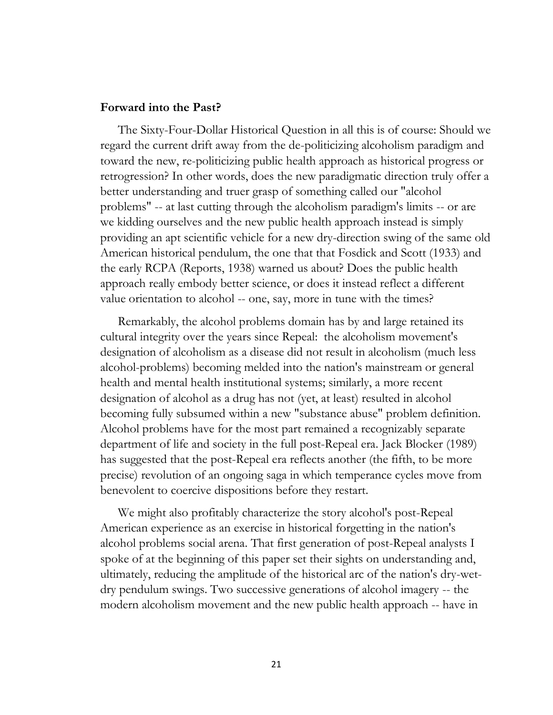#### **Forward into the Past?**

The Sixty-Four-Dollar Historical Question in all this is of course: Should we regard the current drift away from the de-politicizing alcoholism paradigm and toward the new, re-politicizing public health approach as historical progress or retrogression? In other words, does the new paradigmatic direction truly offer a better understanding and truer grasp of something called our "alcohol problems" -- at last cutting through the alcoholism paradigm's limits -- or are we kidding ourselves and the new public health approach instead is simply providing an apt scientific vehicle for a new dry-direction swing of the same old American historical pendulum, the one that that Fosdick and Scott (1933) and the early RCPA (Reports, 1938) warned us about? Does the public health approach really embody better science, or does it instead reflect a different value orientation to alcohol -- one, say, more in tune with the times?

Remarkably, the alcohol problems domain has by and large retained its cultural integrity over the years since Repeal: the alcoholism movement's designation of alcoholism as a disease did not result in alcoholism (much less alcohol-problems) becoming melded into the nation's mainstream or general health and mental health institutional systems; similarly, a more recent designation of alcohol as a drug has not (yet, at least) resulted in alcohol becoming fully subsumed within a new "substance abuse" problem definition. Alcohol problems have for the most part remained a recognizably separate department of life and society in the full post-Repeal era. Jack Blocker (1989) has suggested that the post-Repeal era reflects another (the fifth, to be more precise) revolution of an ongoing saga in which temperance cycles move from benevolent to coercive dispositions before they restart.

We might also profitably characterize the story alcohol's post-Repeal American experience as an exercise in historical forgetting in the nation's alcohol problems social arena. That first generation of post-Repeal analysts I spoke of at the beginning of this paper set their sights on understanding and, ultimately, reducing the amplitude of the historical arc of the nation's dry-wetdry pendulum swings. Two successive generations of alcohol imagery -- the modern alcoholism movement and the new public health approach -- have in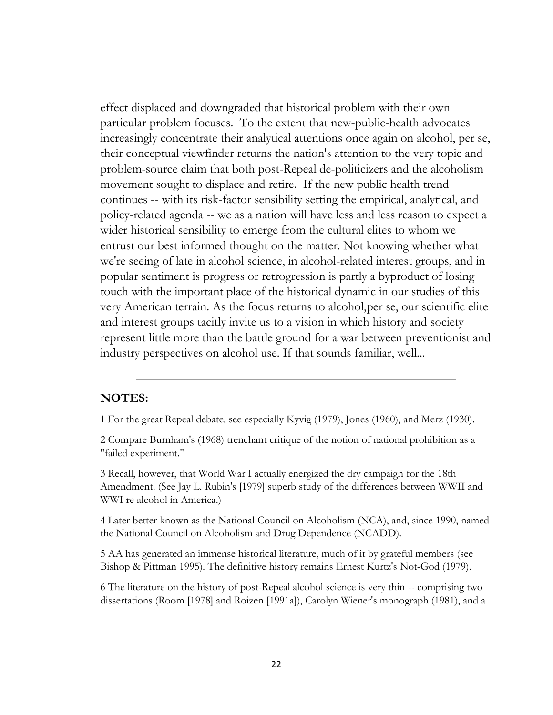effect displaced and downgraded that historical problem with their own particular problem focuses. To the extent that new-public-health advocates increasingly concentrate their analytical attentions once again on alcohol, per se, their conceptual viewfinder returns the nation's attention to the very topic and problem-source claim that both post-Repeal de-politicizers and the alcoholism movement sought to displace and retire. If the new public health trend continues -- with its risk-factor sensibility setting the empirical, analytical, and policy-related agenda -- we as a nation will have less and less reason to expect a wider historical sensibility to emerge from the cultural elites to whom we entrust our best informed thought on the matter. Not knowing whether what we're seeing of late in alcohol science, in alcohol-related interest groups, and in popular sentiment is progress or retrogression is partly a byproduct of losing touch with the important place of the historical dynamic in our studies of this very American terrain. As the focus returns to alcohol,per se, our scientific elite and interest groups tacitly invite us to a vision in which history and society represent little more than the battle ground for a war between preventionist and industry perspectives on alcohol use. If that sounds familiar, well...

# **NOTES:**

1 For the great Repeal debate, see especially Kyvig (1979), Jones (1960), and Merz (1930).

2 Compare Burnham's (1968) trenchant critique of the notion of national prohibition as a "failed experiment."

3 Recall, however, that World War I actually energized the dry campaign for the 18th Amendment. (See Jay L. Rubin's [1979] superb study of the differences between WWII and WWI re alcohol in America.)

4 Later better known as the National Council on Alcoholism (NCA), and, since 1990, named the National Council on Alcoholism and Drug Dependence (NCADD).

5 AA has generated an immense historical literature, much of it by grateful members (see Bishop & Pittman 1995). The definitive history remains Ernest Kurtz's Not-God (1979).

6 The literature on the history of post-Repeal alcohol science is very thin -- comprising two dissertations (Room [1978] and Roizen [1991a]), Carolyn Wiener's monograph (1981), and a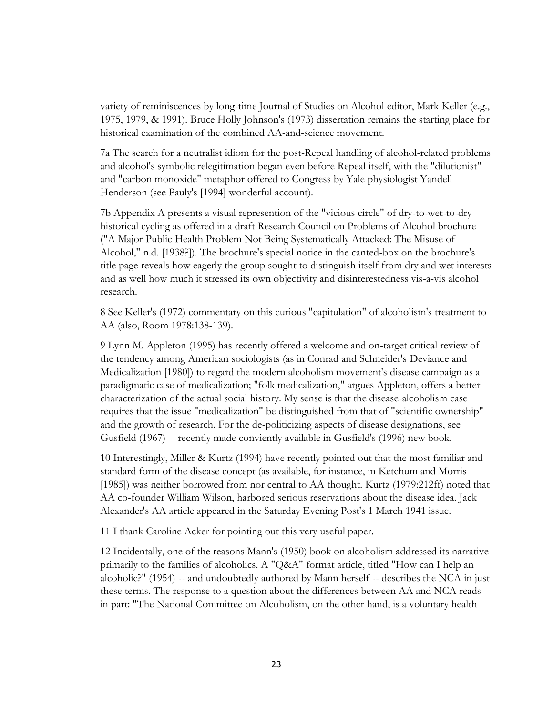variety of reminiscences by long-time Journal of Studies on Alcohol editor, Mark Keller (e.g., 1975, 1979, & 1991). Bruce Holly Johnson's (1973) dissertation remains the starting place for historical examination of the combined AA-and-science movement.

7a The search for a neutralist idiom for the post-Repeal handling of alcohol-related problems and alcohol's symbolic relegitimation began even before Repeal itself, with the "dilutionist" and "carbon monoxide" metaphor offered to Congress by Yale physiologist Yandell Henderson (see Pauly's [1994] wonderful account).

7b Appendix A presents a visual represention of the "vicious circle" of dry-to-wet-to-dry historical cycling as offered in a draft Research Council on Problems of Alcohol brochure ("A Major Public Health Problem Not Being Systematically Attacked: The Misuse of Alcohol," n.d. [1938?]). The brochure's special notice in the canted-box on the brochure's title page reveals how eagerly the group sought to distinguish itself from dry and wet interests and as well how much it stressed its own objectivity and disinterestedness vis-a-vis alcohol research.

8 See Keller's (1972) commentary on this curious "capitulation" of alcoholism's treatment to AA (also, Room 1978:138-139).

9 Lynn M. Appleton (1995) has recently offered a welcome and on-target critical review of the tendency among American sociologists (as in Conrad and Schneider's Deviance and Medicalization [1980]) to regard the modern alcoholism movement's disease campaign as a paradigmatic case of medicalization; "folk medicalization," argues Appleton, offers a better characterization of the actual social history. My sense is that the disease-alcoholism case requires that the issue "medicalization" be distinguished from that of "scientific ownership" and the growth of research. For the de-politicizing aspects of disease designations, see Gusfield (1967) -- recently made conviently available in Gusfield's (1996) new book.

10 Interestingly, Miller & Kurtz (1994) have recently pointed out that the most familiar and standard form of the disease concept (as available, for instance, in Ketchum and Morris [1985]) was neither borrowed from nor central to AA thought. Kurtz (1979:212ff) noted that AA co-founder William Wilson, harbored serious reservations about the disease idea. Jack Alexander's AA article appeared in the Saturday Evening Post's 1 March 1941 issue.

11 I thank Caroline Acker for pointing out this very useful paper.

12 Incidentally, one of the reasons Mann's (1950) book on alcoholism addressed its narrative primarily to the families of alcoholics. A "Q&A" format article, titled "How can I help an alcoholic?" (1954) -- and undoubtedly authored by Mann herself -- describes the NCA in just these terms. The response to a question about the differences between AA and NCA reads in part: "The National Committee on Alcoholism, on the other hand, is a voluntary health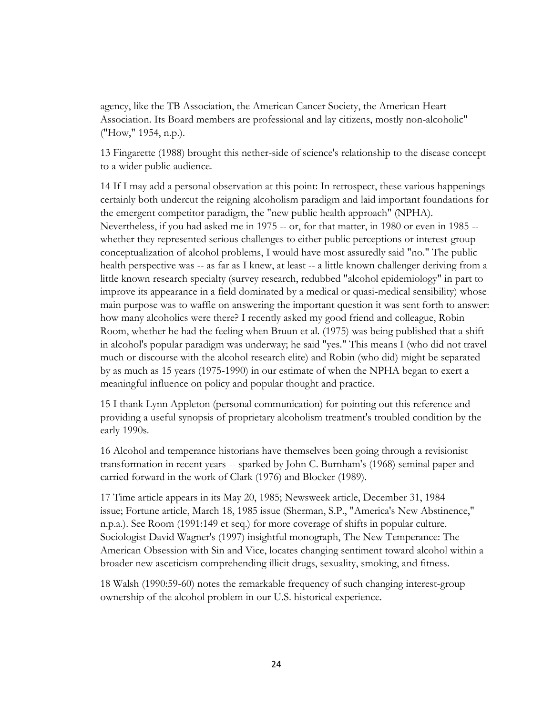agency, like the TB Association, the American Cancer Society, the American Heart Association. Its Board members are professional and lay citizens, mostly non-alcoholic" ("How," 1954, n.p.).

13 Fingarette (1988) brought this nether-side of science's relationship to the disease concept to a wider public audience.

14 If I may add a personal observation at this point: In retrospect, these various happenings certainly both undercut the reigning alcoholism paradigm and laid important foundations for the emergent competitor paradigm, the "new public health approach" (NPHA). Nevertheless, if you had asked me in 1975 -- or, for that matter, in 1980 or even in 1985 - whether they represented serious challenges to either public perceptions or interest-group conceptualization of alcohol problems, I would have most assuredly said "no." The public health perspective was -- as far as I knew, at least -- a little known challenger deriving from a little known research specialty (survey research, redubbed "alcohol epidemiology" in part to improve its appearance in a field dominated by a medical or quasi-medical sensibility) whose main purpose was to waffle on answering the important question it was sent forth to answer: how many alcoholics were there? I recently asked my good friend and colleague, Robin Room, whether he had the feeling when Bruun et al. (1975) was being published that a shift in alcohol's popular paradigm was underway; he said "yes." This means I (who did not travel much or discourse with the alcohol research elite) and Robin (who did) might be separated by as much as 15 years (1975-1990) in our estimate of when the NPHA began to exert a meaningful influence on policy and popular thought and practice.

15 I thank Lynn Appleton (personal communication) for pointing out this reference and providing a useful synopsis of proprietary alcoholism treatment's troubled condition by the early 1990s.

16 Alcohol and temperance historians have themselves been going through a revisionist transformation in recent years -- sparked by John C. Burnham's (1968) seminal paper and carried forward in the work of Clark (1976) and Blocker (1989).

17 Time article appears in its May 20, 1985; Newsweek article, December 31, 1984 issue; Fortune article, March 18, 1985 issue (Sherman, S.P., "America's New Abstinence," n.p.a.). See Room (1991:149 et seq.) for more coverage of shifts in popular culture. Sociologist David Wagner's (1997) insightful monograph, The New Temperance: The American Obsession with Sin and Vice, locates changing sentiment toward alcohol within a broader new asceticism comprehending illicit drugs, sexuality, smoking, and fitness.

18 Walsh (1990:59-60) notes the remarkable frequency of such changing interest-group ownership of the alcohol problem in our U.S. historical experience.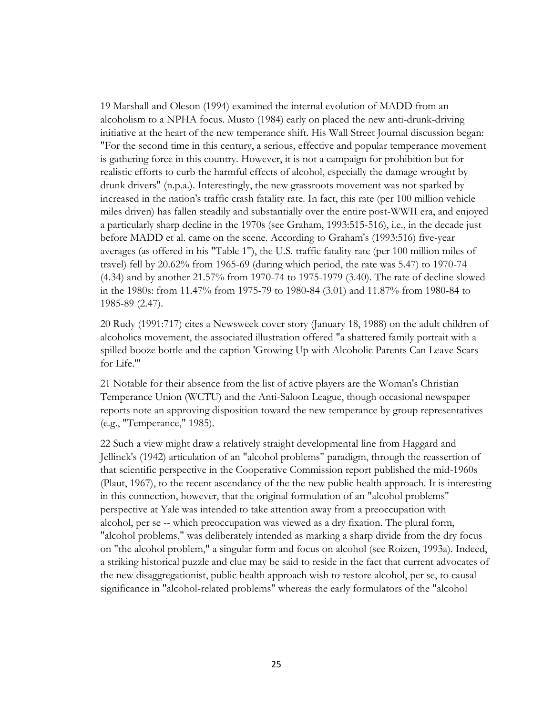19 Marshall and Oleson (1994) examined the internal evolution of MADD from an alcoholism to a NPHA focus. Musto (1984) early on placed the new anti-drunk-driving initiative at the heart of the new temperance shift. His Wall Street Journal discussion began: "For the second time in this century, a serious, effective and popular temperance movement is gathering force in this country. However, it is not a campaign for prohibition but for realistic efforts to curb the harmful effects of alcohol, especially the damage wrought by drunk drivers" (n.p.a.). Interestingly, the new grassroots movement was not sparked by increased in the nation's traffic crash fatality rate. In fact, this rate (per 100 million vehicle miles driven) has fallen steadily and substantially over the entire post-WWII era, and enjoyed a particularly sharp decline in the 1970s (see Graham, 1993:515-516), i.e., in the decade just before MADD et al. came on the scene. According to Graham's (1993:516) five-year averages (as offered in his "Table 1"), the U.S. traffic fatality rate (per 100 million miles of travel) fell by 20.62% from 1965-69 (during which period, the rate was 5.47) to 1970-74 (4.34) and by another 21.57% from 1970-74 to 1975-1979 (3.40). The rate of decline slowed in the 1980s: from 11.47% from 1975-79 to 1980-84 (3.01) and 11.87% from 1980-84 to 1985-89 (2.47).

20 Rudy (1991:717) cites a Newsweek cover story (January 18, 1988) on the adult children of alcoholics movement, the associated illustration offered "a shattered family portrait with a spilled booze bottle and the caption 'Growing Up with Alcoholic Parents Can Leave Scars for Life.'"

21 Notable for their absence from the list of active players are the Woman's Christian Temperance Union (WCTU) and the Anti-Saloon League, though occasional newspaper reports note an approving disposition toward the new temperance by group representatives (e.g., "Temperance," 1985).

22 Such a view might draw a relatively straight developmental line from Haggard and Jellinek's (1942) articulation of an "alcohol problems" paradigm, through the reassertion of that scientific perspective in the Cooperative Commission report published the mid-1960s (Plaut, 1967), to the recent ascendancy of the the new public health approach. It is interesting in this connection, however, that the original formulation of an "alcohol problems" perspective at Yale was intended to take attention away from a preoccupation with alcohol, per se -- which preoccupation was viewed as a dry fixation. The plural form, "alcohol problems," was deliberately intended as marking a sharp divide from the dry focus on "the alcohol problem," a singular form and focus on alcohol (see Roizen, 1993a). Indeed, a striking historical puzzle and clue may be said to reside in the fact that current advocates of the new disaggregationist, public health approach wish to restore alcohol, per se, to causal significance in "alcohol-related problems" whereas the early formulators of the "alcohol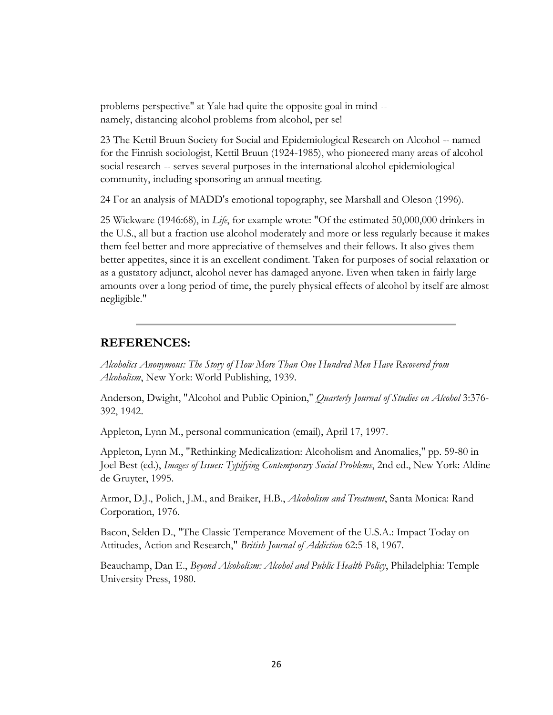problems perspective" at Yale had quite the opposite goal in mind - namely, distancing alcohol problems from alcohol, per se!

23 The Kettil Bruun Society for Social and Epidemiological Research on Alcohol -- named for the Finnish sociologist, Kettil Bruun (1924-1985), who pioneered many areas of alcohol social research -- serves several purposes in the international alcohol epidemiological community, including sponsoring an annual meeting.

24 For an analysis of MADD's emotional topography, see Marshall and Oleson (1996).

25 Wickware (1946:68), in *Life*, for example wrote: "Of the estimated 50,000,000 drinkers in the U.S., all but a fraction use alcohol moderately and more or less regularly because it makes them feel better and more appreciative of themselves and their fellows. It also gives them better appetites, since it is an excellent condiment. Taken for purposes of social relaxation or as a gustatory adjunct, alcohol never has damaged anyone. Even when taken in fairly large amounts over a long period of time, the purely physical effects of alcohol by itself are almost negligible."

## **REFERENCES:**

*Alcoholics Anonymous: The Story of How More Than One Hundred Men Have Recovered from Alcoholism*, New York: World Publishing, 1939.

Anderson, Dwight, "Alcohol and Public Opinion," *Quarterly Journal of Studies on Alcohol* 3:376- 392, 1942.

Appleton, Lynn M., personal communication (email), April 17, 1997.

Appleton, Lynn M., "Rethinking Medicalization: Alcoholism and Anomalies," pp. 59-80 in Joel Best (ed.), *Images of Issues: Typifying Contemporary Social Problems*, 2nd ed., New York: Aldine de Gruyter, 1995.

Armor, D.J., Polich, J.M., and Braiker, H.B., *Alcoholism and Treatment*, Santa Monica: Rand Corporation, 1976.

Bacon, Selden D., "The Classic Temperance Movement of the U.S.A.: Impact Today on Attitudes, Action and Research," *British Journal of Addiction* 62:5-18, 1967.

Beauchamp, Dan E., *Beyond Alcoholism: Alcohol and Public Health Policy*, Philadelphia: Temple University Press, 1980.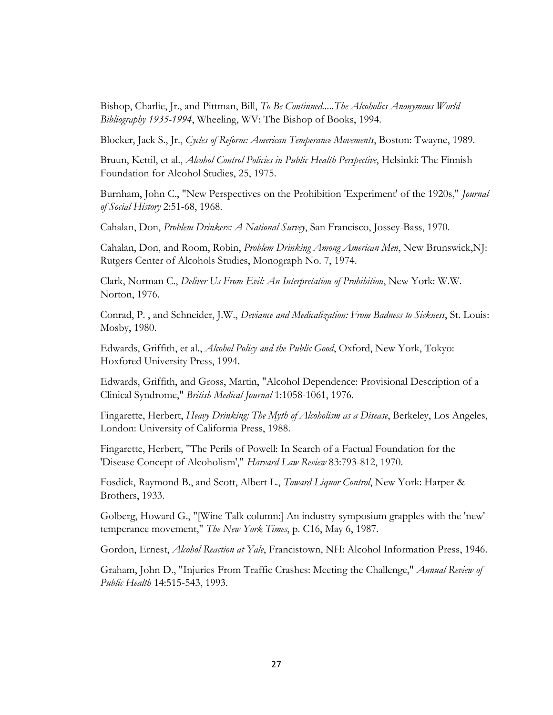Bishop, Charlie, Jr., and Pittman, Bill, *To Be Continued.....The Alcoholics Anonymous World Bibliography 1935-1994*, Wheeling, WV: The Bishop of Books, 1994.

Blocker, Jack S., Jr., *Cycles of Reform: American Temperance Movements*, Boston: Twayne, 1989.

Bruun, Kettil, et al., *Alcohol Control Policies in Public Health Perspective*, Helsinki: The Finnish Foundation for Alcohol Studies, 25, 1975.

Burnham, John C., "New Perspectives on the Prohibition 'Experiment' of the 1920s," *Journal of Social History* 2:51-68, 1968.

Cahalan, Don, *Problem Drinkers: A National Survey*, San Francisco, Jossey-Bass, 1970.

Cahalan, Don, and Room, Robin, *Problem Drinking Among American Men*, New Brunswick,NJ: Rutgers Center of Alcohols Studies, Monograph No. 7, 1974.

Clark, Norman C., *Deliver Us From Evil: An Interpretation of Prohibition*, New York: W.W. Norton, 1976.

Conrad, P. , and Schneider, J.W., *Deviance and Medicalization: From Badness to Sickness*, St. Louis: Mosby, 1980.

Edwards, Griffith, et al., *Alcohol Policy and the Public Good*, Oxford, New York, Tokyo: Hoxfored University Press, 1994.

Edwards, Griffith, and Gross, Martin, "Alcohol Dependence: Provisional Description of a Clinical Syndrome," *British Medical Journal* 1:1058-1061, 1976.

Fingarette, Herbert, *Heavy Drinking: The Myth of Alcoholism as a Disease*, Berkeley, Los Angeles, London: University of California Press, 1988.

Fingarette, Herbert, "The Perils of Powell: In Search of a Factual Foundation for the 'Disease Concept of Alcoholism'," *Harvard Law Review* 83:793-812, 1970.

Fosdick, Raymond B., and Scott, Albert L., *Toward Liquor Control*, New York: Harper & Brothers, 1933.

Golberg, Howard G., "[Wine Talk column:] An industry symposium grapples with the 'new' temperance movement," *The New York Times*, p. C16, May 6, 1987.

Gordon, Ernest, *Alcohol Reaction at Yale*, Francistown, NH: Alcohol Information Press, 1946.

Graham, John D., "Injuries From Traffic Crashes: Meeting the Challenge," *Annual Review of Public Health* 14:515-543, 1993.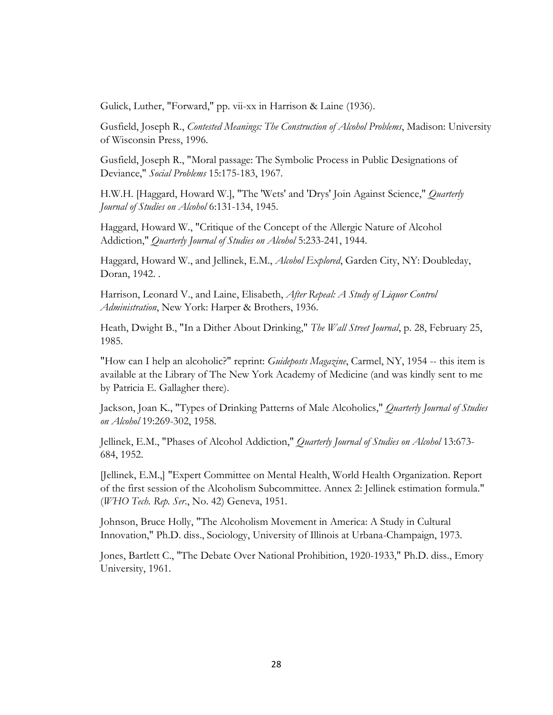Gulick, Luther, "Forward," pp. vii-xx in Harrison & Laine (1936).

Gusfield, Joseph R., *Contested Meanings: The Construction of Alcohol Problems*, Madison: University of Wisconsin Press, 1996.

Gusfield, Joseph R., "Moral passage: The Symbolic Process in Public Designations of Deviance," *Social Problems* 15:175-183, 1967.

H.W.H. [Haggard, Howard W.], "The 'Wets' and 'Drys' Join Against Science," *Quarterly Journal of Studies on Alcohol* 6:131-134, 1945.

Haggard, Howard W., "Critique of the Concept of the Allergic Nature of Alcohol Addiction," *Quarterly Journal of Studies on Alcohol* 5:233-241, 1944.

Haggard, Howard W., and Jellinek, E.M., *Alcohol Explored*, Garden City, NY: Doubleday, Doran, 1942. .

Harrison, Leonard V., and Laine, Elisabeth, *After Repeal: A Study of Liquor Control Administration*, New York: Harper & Brothers, 1936.

Heath, Dwight B., "In a Dither About Drinking," *The Wall Street Journal*, p. 28, February 25, 1985.

"How can I help an alcoholic?" reprint: *Guideposts Magazine*, Carmel, NY, 1954 -- this item is available at the Library of The New York Academy of Medicine (and was kindly sent to me by Patricia E. Gallagher there).

Jackson, Joan K., "Types of Drinking Patterns of Male Alcoholics," *Quarterly Journal of Studies on Alcohol* 19:269-302, 1958.

Jellinek, E.M., "Phases of Alcohol Addiction," *Quarterly Journal of Studies on Alcohol* 13:673- 684, 1952.

[Jellinek, E.M.,] "Expert Committee on Mental Health, World Health Organization. Report of the first session of the Alcoholism Subcommittee. Annex 2: Jellinek estimation formula." (*WHO Tech. Rep. Ser*., No. 42) Geneva, 1951.

Johnson, Bruce Holly, "The Alcoholism Movement in America: A Study in Cultural Innovation," Ph.D. diss., Sociology, University of Illinois at Urbana-Champaign, 1973.

Jones, Bartlett C., "The Debate Over National Prohibition, 1920-1933," Ph.D. diss., Emory University, 1961.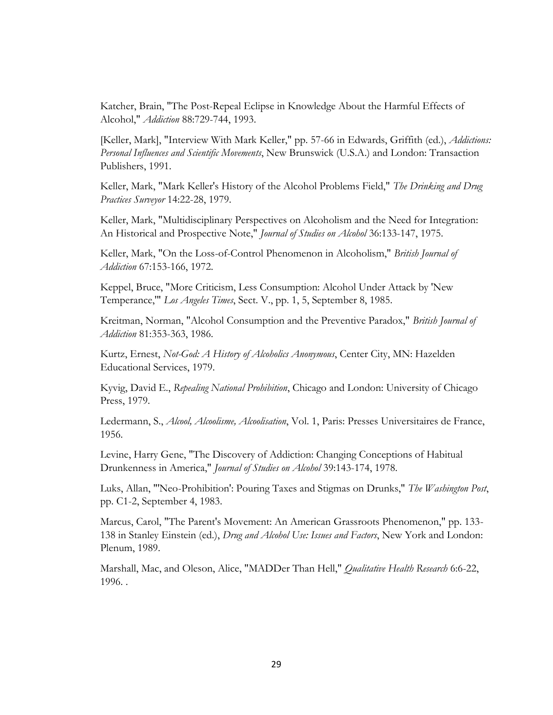Katcher, Brain, "The Post-Repeal Eclipse in Knowledge About the Harmful Effects of Alcohol," *Addiction* 88:729-744, 1993.

[Keller, Mark], "Interview With Mark Keller," pp. 57-66 in Edwards, Griffith (ed.), *Addictions: Personal Influences and Scientific Movements*, New Brunswick (U.S.A.) and London: Transaction Publishers, 1991.

Keller, Mark, "Mark Keller's History of the Alcohol Problems Field," *The Drinking and Drug Practices Surveyor* 14:22-28, 1979.

Keller, Mark, "Multidisciplinary Perspectives on Alcoholism and the Need for Integration: An Historical and Prospective Note," *Journal of Studies on Alcohol* 36:133-147, 1975.

Keller, Mark, "On the Loss-of-Control Phenomenon in Alcoholism," *British Journal of Addiction* 67:153-166, 1972.

Keppel, Bruce, "More Criticism, Less Consumption: Alcohol Under Attack by 'New Temperance,'" *Los Angeles Times*, Sect. V., pp. 1, 5, September 8, 1985.

Kreitman, Norman, "Alcohol Consumption and the Preventive Paradox," *British Journal of Addiction* 81:353-363, 1986.

Kurtz, Ernest, *Not-God: A History of Alcoholics Anonymous*, Center City, MN: Hazelden Educational Services, 1979.

Kyvig, David E., *Repealing National Prohibition*, Chicago and London: University of Chicago Press, 1979.

Ledermann, S., *Alcool, Alcoolisme, Alcoolisation*, Vol. 1, Paris: Presses Universitaires de France, 1956.

Levine, Harry Gene, "The Discovery of Addiction: Changing Conceptions of Habitual Drunkenness in America," *Journal of Studies on Alcohol* 39:143-174, 1978.

Luks, Allan, "'Neo-Prohibition': Pouring Taxes and Stigmas on Drunks," *The Washington Post*, pp. C1-2, September 4, 1983.

Marcus, Carol, "The Parent's Movement: An American Grassroots Phenomenon," pp. 133- 138 in Stanley Einstein (ed.), *Drug and Alcohol Use: Issues and Factors*, New York and London: Plenum, 1989.

Marshall, Mac, and Oleson, Alice, "MADDer Than Hell," *Qualitative Health Research* 6:6-22, 1996. .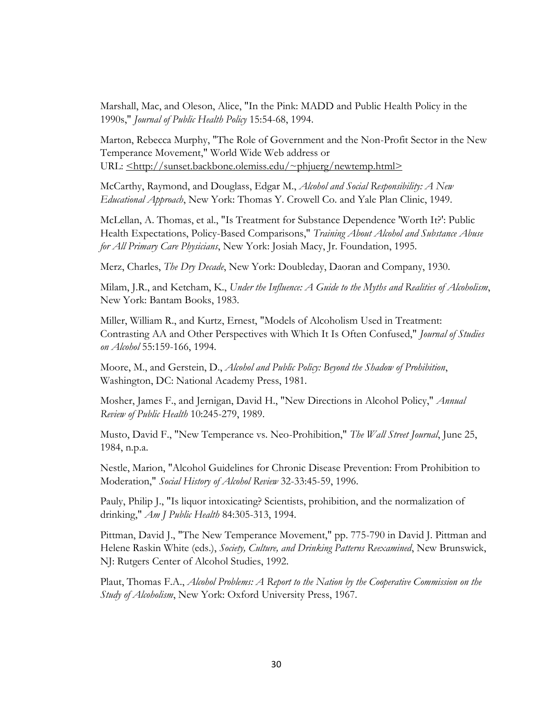Marshall, Mac, and Oleson, Alice, "In the Pink: MADD and Public Health Policy in the 1990s," *Journal of Public Health Policy* 15:54-68, 1994.

Marton, Rebecca Murphy, "The Role of Government and the Non-Profit Sector in the New Temperance Movement," World Wide Web address or URL:  $\leq$ http://sunset.backbone.olemiss.edu/~phjuerg/newtemp.html>

McCarthy, Raymond, and Douglass, Edgar M., *Alcohol and Social Responsibility: A New Educational Approach*, New York: Thomas Y. Crowell Co. and Yale Plan Clinic, 1949.

McLellan, A. Thomas, et al., "Is Treatment for Substance Dependence 'Worth It?': Public Health Expectations, Policy-Based Comparisons," *Training About Alcohol and Substance Abuse for All Primary Care Physicians*, New York: Josiah Macy, Jr. Foundation, 1995.

Merz, Charles, *The Dry Decade*, New York: Doubleday, Daoran and Company, 1930.

Milam, J.R., and Ketcham, K., *Under the Influence: A Guide to the Myths and Realities of Alcoholism*, New York: Bantam Books, 1983.

Miller, William R., and Kurtz, Ernest, "Models of Alcoholism Used in Treatment: Contrasting AA and Other Perspectives with Which It Is Often Confused," *Journal of Studies on Alcohol* 55:159-166, 1994.

Moore, M., and Gerstein, D., *Alcohol and Public Policy: Beyond the Shadow of Prohibition*, Washington, DC: National Academy Press, 1981.

Mosher, James F., and Jernigan, David H., "New Directions in Alcohol Policy," *Annual Review of Public Health* 10:245-279, 1989.

Musto, David F., "New Temperance vs. Neo-Prohibition," *The Wall Street Journal*, June 25, 1984, n.p.a.

Nestle, Marion, "Alcohol Guidelines for Chronic Disease Prevention: From Prohibition to Moderation," *Social History of Alcohol Review* 32-33:45-59, 1996.

Pauly, Philip J., "Is liquor intoxicating? Scientists, prohibition, and the normalization of drinking," *Am J Public Health* 84:305-313, 1994.

Pittman, David J., "The New Temperance Movement," pp. 775-790 in David J. Pittman and Helene Raskin White (eds.), *Society, Culture, and Drinking Patterns Reexamined*, New Brunswick, NJ: Rutgers Center of Alcohol Studies, 1992.

Plaut, Thomas F.A., *Alcohol Problems: A Report to the Nation by the Cooperative Commission on the Study of Alcoholism*, New York: Oxford University Press, 1967.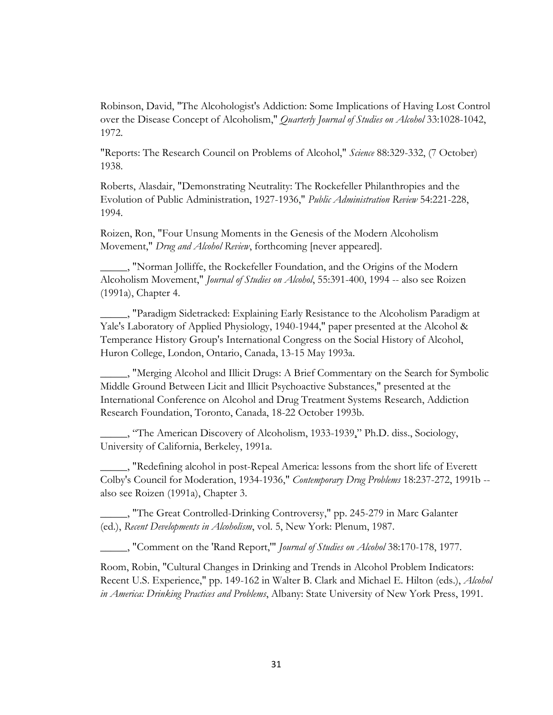Robinson, David, "The Alcohologist's Addiction: Some Implications of Having Lost Control over the Disease Concept of Alcoholism," *Quarterly Journal of Studies on Alcohol* 33:1028-1042, 1972.

"Reports: The Research Council on Problems of Alcohol," *Science* 88:329-332, (7 October) 1938.

Roberts, Alasdair, "Demonstrating Neutrality: The Rockefeller Philanthropies and the Evolution of Public Administration, 1927-1936," *Public Administration Review* 54:221-228, 1994.

Roizen, Ron, "Four Unsung Moments in the Genesis of the Modern Alcoholism Movement," *Drug and Alcohol Review*, forthcoming [never appeared].

\_\_\_\_\_, "Norman Jolliffe, the Rockefeller Foundation, and the Origins of the Modern Alcoholism Movement," *Journal of Studies on Alcohol*, 55:391-400, 1994 -- also see Roizen (1991a), [Chapter 4.](http://www.roizen.com/ron/dissch4.htm)

\_\_\_\_\_, ["Paradigm Sidetracked: Explaining Early Resistance to the Alcoholism Paradigm at](http://www.roizen.com/ron/sidetracked.htm)  [Yale's Laboratory of Applied Physiology, 1940-1944,](http://www.roizen.com/ron/sidetracked.htm)" paper presented at the Alcohol & Temperance History Group's International Congress on the Social History of Alcohol, Huron College, London, Ontario, Canada, 13-15 May 1993a.

\_\_\_\_\_, "Merging Alcohol and Illicit Drugs: A Brief Commentary on the Search for Symbolic Middle Ground Between Licit and Illicit Psychoactive Substances," presented at the International Conference on Alcohol and Drug Treatment Systems Research, Addiction Research Foundation, Toronto, Canada, 18-22 October 1993b.

\_\_\_\_\_, "[The American Discovery of Alcoholism, 1933-1939,](http://www.roizen.com/ron/disshome.htm)" Ph.D. diss., Sociology, University of California, Berkeley, 1991a.

\_\_\_\_\_, "Redefining alcohol in post-Repeal America: lessons from the short life of Everett Colby's Council for Moderation, 1934-1936," *Contemporary Drug Problems* 18:237-272, 1991b - also see Roizen (1991a), [Chapter 3.](http://www.roizen.com/ron/dissch3.htm)

\_\_\_\_\_, ["The Great Controlled-Drinking Controversy,](http://www.roizen.com/ron/cont-dri.htm)" pp. 245-279 in Marc Galanter (ed.), *Recent Developments in Alcoholism*, vol. 5, New York: Plenum, 1987.

\_\_\_\_\_, "Comment on the 'Rand Report,'" *Journal of Studies on Alcohol* 38:170-178, 1977.

Room, Robin, "Cultural Changes in Drinking and Trends in Alcohol Problem Indicators: Recent U.S. Experience," pp. 149-162 in Walter B. Clark and Michael E. Hilton (eds.), *Alcohol in America: Drinking Practices and Problems*, Albany: State University of New York Press, 1991.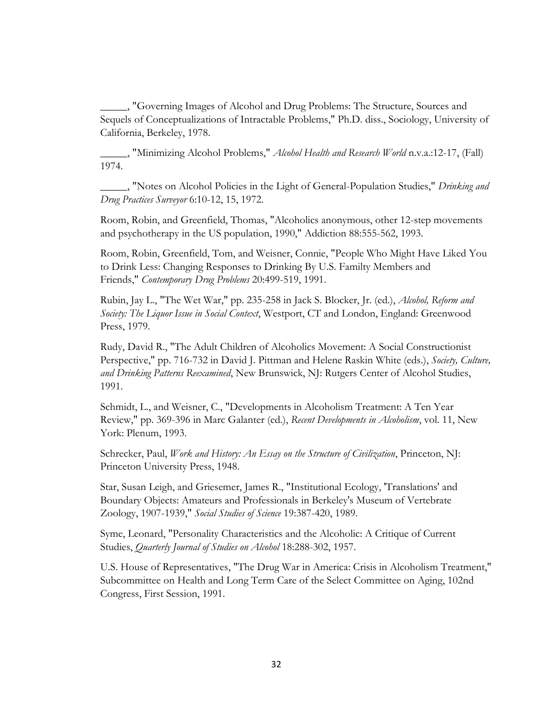\_\_\_\_\_, "Governing Images of Alcohol and Drug Problems: The Structure, Sources and Sequels of Conceptualizations of Intractable Problems," Ph.D. diss., Sociology, University of California, Berkeley, 1978.

\_\_\_\_\_, "Minimizing Alcohol Problems," *Alcohol Health and Research World* n.v.a.:12-17, (Fall) 1974.

\_\_\_\_\_, "Notes on Alcohol Policies in the Light of General-Population Studies," *Drinking and Drug Practices Surveyor* 6:10-12, 15, 1972.

Room, Robin, and Greenfield, Thomas, "Alcoholics anonymous, other 12-step movements and psychotherapy in the US population, 1990," Addiction 88:555-562, 1993.

Room, Robin, Greenfield, Tom, and Weisner, Connie, "People Who Might Have Liked You to Drink Less: Changing Responses to Drinking By U.S. Familty Members and Friends," *Contemporary Drug Problems* 20:499-519, 1991.

Rubin, Jay L., "The Wet War," pp. 235-258 in Jack S. Blocker, Jr. (ed.), *Alcohol, Reform and Society: The Liquor Issue in Social Context*, Westport, CT and London, England: Greenwood Press, 1979.

Rudy, David R., "The Adult Children of Alcoholics Movement: A Social Constructionist Perspective," pp. 716-732 in David J. Pittman and Helene Raskin White (eds.), *Society, Culture, and Drinking Patterns Reexamined*, New Brunswick, NJ: Rutgers Center of Alcohol Studies, 1991.

Schmidt, L., and Weisner, C., "Developments in Alcoholism Treatment: A Ten Year Review," pp. 369-396 in Marc Galanter (ed.), *Recent Developments in Alcoholism*, vol. 11, New York: Plenum, 1993.

Schrecker, Paul, *Work and History: An Essay on the Structure of Civilization*, Princeton, NJ: Princeton University Press, 1948.

Star, Susan Leigh, and Griesemer, James R., "Institutional Ecology, 'Translations' and Boundary Objects: Amateurs and Professionals in Berkeley's Museum of Vertebrate Zoology, 1907-1939," *Social Studies of Science* 19:387-420, 1989.

Syme, Leonard, "Personality Characteristics and the Alcoholic: A Critique of Current Studies, *Quarterly Journal of Studies on Alcohol* 18:288-302, 1957.

U.S. House of Representatives, "The Drug War in America: Crisis in Alcoholism Treatment," Subcommittee on Health and Long Term Care of the Select Committee on Aging, 102nd Congress, First Session, 1991.